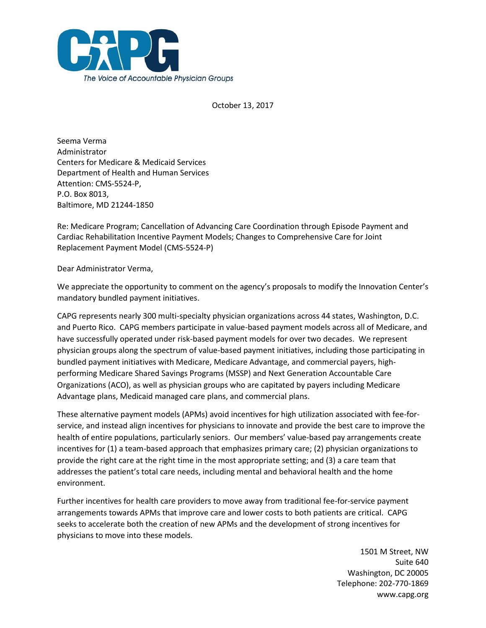

October 13, 2017

Seema Verma Administrator Centers for Medicare & Medicaid Services Department of Health and Human Services Attention: CMS-5524-P, P.O. Box 8013, Baltimore, MD 21244-1850

Re: Medicare Program; Cancellation of Advancing Care Coordination through Episode Payment and Cardiac Rehabilitation Incentive Payment Models; Changes to Comprehensive Care for Joint Replacement Payment Model (CMS-5524-P)

Dear Administrator Verma,

We appreciate the opportunity to comment on the agency's proposals to modify the Innovation Center's mandatory bundled payment initiatives.

CAPG represents nearly 300 multi-specialty physician organizations across 44 states, Washington, D.C. and Puerto Rico. CAPG members participate in value-based payment models across all of Medicare, and have successfully operated under risk-based payment models for over two decades. We represent physician groups along the spectrum of value-based payment initiatives, including those participating in bundled payment initiatives with Medicare, Medicare Advantage, and commercial payers, highperforming Medicare Shared Savings Programs (MSSP) and Next Generation Accountable Care Organizations (ACO), as well as physician groups who are capitated by payers including Medicare Advantage plans, Medicaid managed care plans, and commercial plans.

These alternative payment models (APMs) avoid incentives for high utilization associated with fee-forservice, and instead align incentives for physicians to innovate and provide the best care to improve the health of entire populations, particularly seniors. Our members' value-based pay arrangements create incentives for (1) a team-based approach that emphasizes primary care; (2) physician organizations to provide the right care at the right time in the most appropriate setting; and (3) a care team that addresses the patient's total care needs, including mental and behavioral health and the home environment.

Further incentives for health care providers to move away from traditional fee-for-service payment arrangements towards APMs that improve care and lower costs to both patients are critical. CAPG seeks to accelerate both the creation of new APMs and the development of strong incentives for physicians to move into these models.

> 1501 M Street, NW Suite 640 Washington, DC 20005 Telephone: 202-770-1869 www.capg.org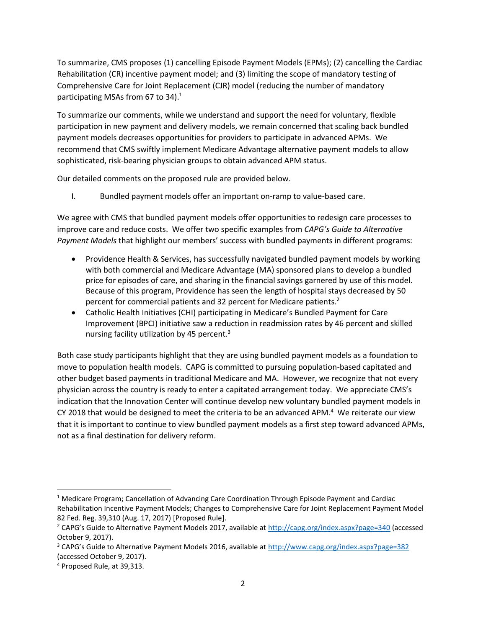To summarize, CMS proposes (1) cancelling Episode Payment Models (EPMs); (2) cancelling the Cardiac Rehabilitation (CR) incentive payment model; and (3) limiting the scope of mandatory testing of Comprehensive Care for Joint Replacement (CJR) model (reducing the number of mandatory participating MSAs from 67 to 34).<sup>1</sup>

To summarize our comments, while we understand and support the need for voluntary, flexible participation in new payment and delivery models, we remain concerned that scaling back bundled payment models decreases opportunities for providers to participate in advanced APMs. We recommend that CMS swiftly implement Medicare Advantage alternative payment models to allow sophisticated, risk-bearing physician groups to obtain advanced APM status.

Our detailed comments on the proposed rule are provided below.

I. Bundled payment models offer an important on-ramp to value-based care.

We agree with CMS that bundled payment models offer opportunities to redesign care processes to improve care and reduce costs. We offer two specific examples from *CAPG's Guide to Alternative Payment Models* that highlight our members' success with bundled payments in different programs:

- Providence Health & Services, has successfully navigated bundled payment models by working with both commercial and Medicare Advantage (MA) sponsored plans to develop a bundled price for episodes of care, and sharing in the financial savings garnered by use of this model. Because of this program, Providence has seen the length of hospital stays decreased by 50 percent for commercial patients and 32 percent for Medicare patients.<sup>2</sup>
- Catholic Health Initiatives (CHI) participating in Medicare's Bundled Payment for Care Improvement (BPCI) initiative saw a reduction in readmission rates by 46 percent and skilled nursing facility utilization by 45 percent. $3$

Both case study participants highlight that they are using bundled payment models as a foundation to move to population health models. CAPG is committed to pursuing population-based capitated and other budget based payments in traditional Medicare and MA. However, we recognize that not every physician across the country is ready to enter a capitated arrangement today. We appreciate CMS's indication that the Innovation Center will continue develop new voluntary bundled payment models in CY 2018 that would be designed to meet the criteria to be an advanced APM. $4\,$  We reiterate our view that it is important to continue to view bundled payment models as a first step toward advanced APMs, not as a final destination for delivery reform.

 $\overline{a}$ 

<sup>1</sup> Medicare Program; Cancellation of Advancing Care Coordination Through Episode Payment and Cardiac Rehabilitation Incentive Payment Models; Changes to Comprehensive Care for Joint Replacement Payment Model 82 Fed. Reg. 39,310 (Aug. 17, 2017) [Proposed Rule].

<sup>2</sup> CAPG's Guide to Alternative Payment Models 2017, available at <http://capg.org/index.aspx?page=340> (accessed October 9, 2017).

<sup>3</sup> CAPG's Guide to Alternative Payment Models 2016, available at <http://www.capg.org/index.aspx?page=382> (accessed October 9, 2017).

<sup>4</sup> Proposed Rule, at 39,313.